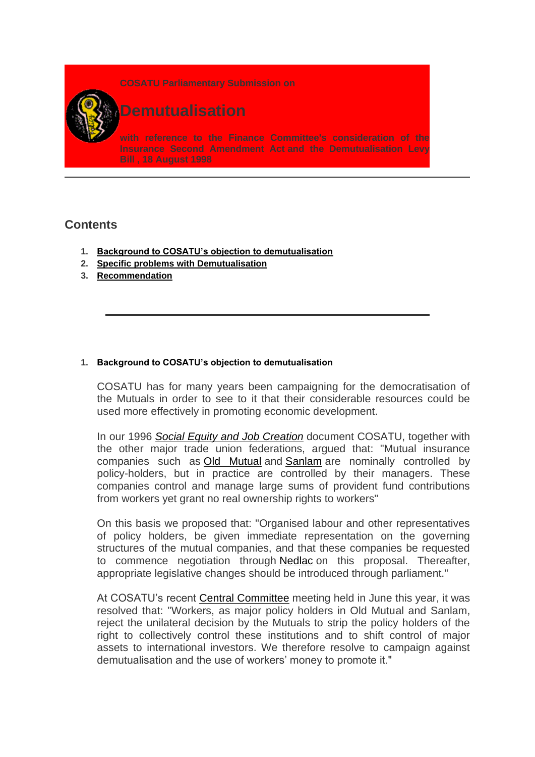**COSATU Parliamentary Submission on**



# **Demutualisation**

**with reference to the Finance Committee's consideration of the Insurance Second Amendment Ac[t](http://www.polity.org.za/govdocs/legislation/1997/act31.pdf) and the Demutualisation Levy Bill [,](http://www.polity.org.za/govdocs/bills/1998/b50-98.pdf) 18 August 1998**

## **Contents**

- **1. [Background to COSATU's objection to demutualisation](http://www.cosatu.org.za/show.php?ID=782#_Toc428070995)**
- **2. [Specific problems with Demutualisation](http://www.cosatu.org.za/show.php?ID=782#_Toc428070996)**
- **3. [Recommendation](http://www.cosatu.org.za/show.php?ID=782#_Toc428070997)**

## **1. Background to COSATU's objection to demutualisation**

COSATU has for many years been campaigning for the democratisation of the Mutuals in order to see to it that their considerable resources could be used more effectively in promoting economic development.

In our 1996 *[Social Equity and Job Creation](http://www.cosatu.org.za/jobs.html)* document COSATU, together with the other major trade union federations, argued that: "Mutual insurance companies such as [Old Mutual](http://www.oldmutual.co.za/) and [Sanlam](http://www.sanlam.co.za/) are nominally controlled by policy-holders, but in practice are controlled by their managers. These companies control and manage large sums of provident fund contributions from workers yet grant no real ownership rights to workers"

On this basis we proposed that: "Organised labour and other representatives of policy holders, be given immediate representation on the governing structures of the mutual companies, and that these companies be requested to commence negotiation through [Nedlac](http://www.nedlac.org.za/) on this proposal. Thereafter, appropriate legislative changes should be introduced through parliament."

At COSATU's recent [Central Committee](http://www.cosatu.org.za/cc/1998/cc98-poa.htm) meeting held in June this year, it was resolved that: "Workers, as major policy holders in Old Mutual and Sanlam, reject the unilateral decision by the Mutuals to strip the policy holders of the right to collectively control these institutions and to shift control of major assets to international investors. We therefore resolve to campaign against demutualisation and the use of workers' money to promote it."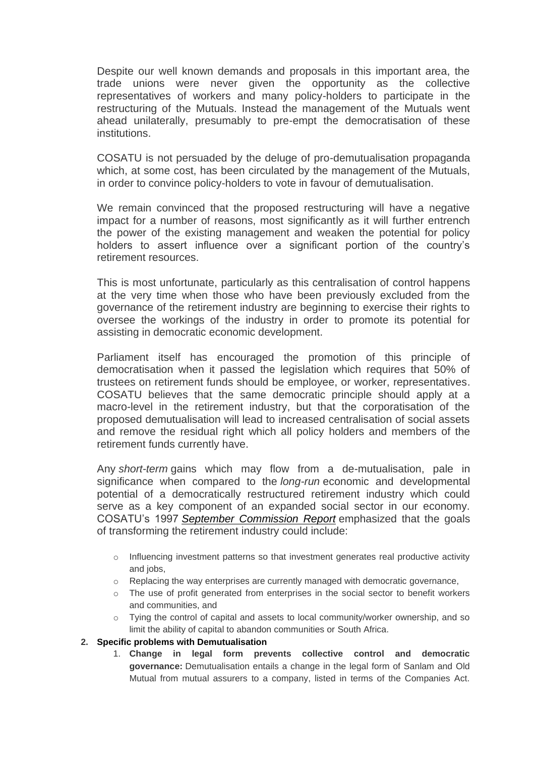Despite our well known demands and proposals in this important area, the trade unions were never given the opportunity as the collective representatives of workers and many policy-holders to participate in the restructuring of the Mutuals. Instead the management of the Mutuals went ahead unilaterally, presumably to pre-empt the democratisation of these institutions.

COSATU is not persuaded by the deluge of pro-demutualisation propaganda which, at some cost, has been circulated by the management of the Mutuals, in order to convince policy-holders to vote in favour of demutualisation.

We remain convinced that the proposed restructuring will have a negative impact for a number of reasons, most significantly as it will further entrench the power of the existing management and weaken the potential for policy holders to assert influence over a significant portion of the country's retirement resources.

This is most unfortunate, particularly as this centralisation of control happens at the very time when those who have been previously excluded from the governance of the retirement industry are beginning to exercise their rights to oversee the workings of the industry in order to promote its potential for assisting in democratic economic development.

Parliament itself has encouraged the promotion of this principle of democratisation when it passed the legislation which requires that 50% of trustees on retirement funds should be employee, or worker, representatives. COSATU believes that the same democratic principle should apply at a macro-level in the retirement industry, but that the corporatisation of the proposed demutualisation will lead to increased centralisation of social assets and remove the residual right which all policy holders and members of the retirement funds currently have.

Any *short-term* gains which may flow from a de-mutualisation, pale in significance when compared to the *long-run* economic and developmental potential of a democratically restructured retirement industry which could serve as a key component of an expanded social sector in our economy. COSATU's 1997 *[September Commission Report](http://www.cosatu.org.za/congress/sept-ch4.htm#tools)* emphasized that the goals of transforming the retirement industry could include:

- $\circ$  Influencing investment patterns so that investment generates real productive activity and jobs,
- $\circ$  Replacing the way enterprises are currently managed with democratic governance,
- $\circ$  The use of profit generated from enterprises in the social sector to benefit workers and communities, and
- o Tying the control of capital and assets to local community/worker ownership, and so limit the ability of capital to abandon communities or South Africa.

### **2. Specific problems with Demutualisation**

1. **Change in legal form prevents collective control and democratic governance:** Demutualisation entails a change in the legal form of Sanlam and Old Mutual from mutual assurers to a company, listed in terms of the Companies Act.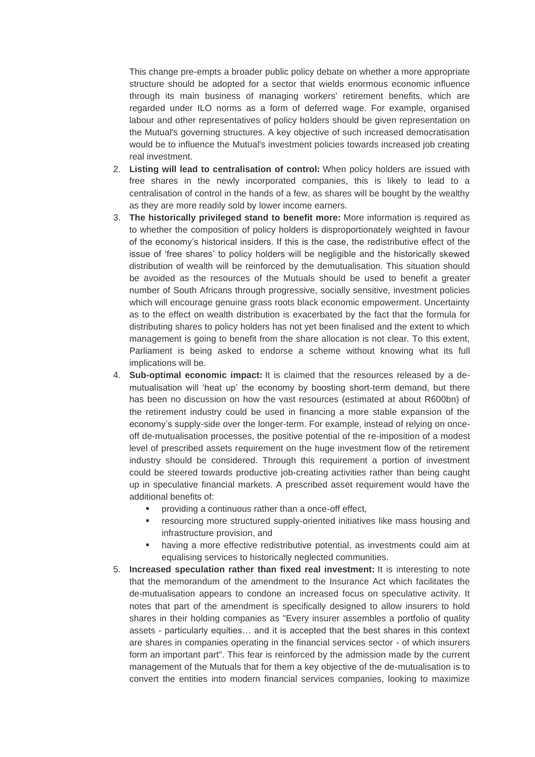This change pre-empts a broader public policy debate on whether a more appropriate structure should be adopted for a sector that wields enormous economic influence through its main business of managing workers' retirement benefits, which are regarded under ILO norms as a form of deferred wage. For example, organised labour and other representatives of policy holders should be given representation on the Mutual's governing structures. A key objective of such increased democratisation would be to influence the Mutual's investment policies towards increased job creating real investment.

- 2. **Listing will lead to centralisation of control:** When policy holders are issued with free shares in the newly incorporated companies, this is likely to lead to a centralisation of control in the hands of a few, as shares will be bought by the wealthy as they are more readily sold by lower income earners.
- 3. **The historically privileged stand to benefit more:** More information is required as to whether the composition of policy holders is disproportionately weighted in favour of the economy's historical insiders. If this is the case, the redistributive effect of the issue of 'free shares' to policy holders will be negligible and the historically skewed distribution of wealth will be reinforced by the demutualisation. This situation should be avoided as the resources of the Mutuals should be used to benefit a greater number of South Africans through progressive, socially sensitive, investment policies which will encourage genuine grass roots black economic empowerment. Uncertainty as to the effect on wealth distribution is exacerbated by the fact that the formula for distributing shares to policy holders has not yet been finalised and the extent to which management is going to benefit from the share allocation is not clear. To this extent, Parliament is being asked to endorse a scheme without knowing what its full implications will be.
- 4. **Sub-optimal economic impact:** It is claimed that the resources released by a demutualisation will 'heat up' the economy by boosting short-term demand, but there has been no discussion on how the vast resources (estimated at about R600bn) of the retirement industry could be used in financing a more stable expansion of the economy's supply-side over the longer-term. For example, instead of relying on onceoff de-mutualisation processes, the positive potential of the re-imposition of a modest level of prescribed assets requirement on the huge investment flow of the retirement industry should be considered. Through this requirement a portion of investment could be steered towards productive job-creating activities rather than being caught up in speculative financial markets. A prescribed asset requirement would have the additional benefits of:
	- providing a continuous rather than a once-off effect,
	- resourcing more structured supply-oriented initiatives like mass housing and infrastructure provision, and
	- having a more effective redistributive potential, as investments could aim at equalising services to historically neglected communities.
- 5. **Increased speculation rather than fixed real investment:** It is interesting to note that the memorandum of the amendment to the Insurance Act which facilitates the de-mutualisation appears to condone an increased focus on speculative activity. It notes that part of the amendment is specifically designed to allow insurers to hold shares in their holding companies as "Every insurer assembles a portfolio of quality assets - particularly equities… and it is accepted that the best shares in this context are shares in companies operating in the financial services sector - of which insurers form an important part". This fear is reinforced by the admission made by the current management of the Mutuals that for them a key objective of the de-mutualisation is to convert the entities into modern financial services companies, looking to maximize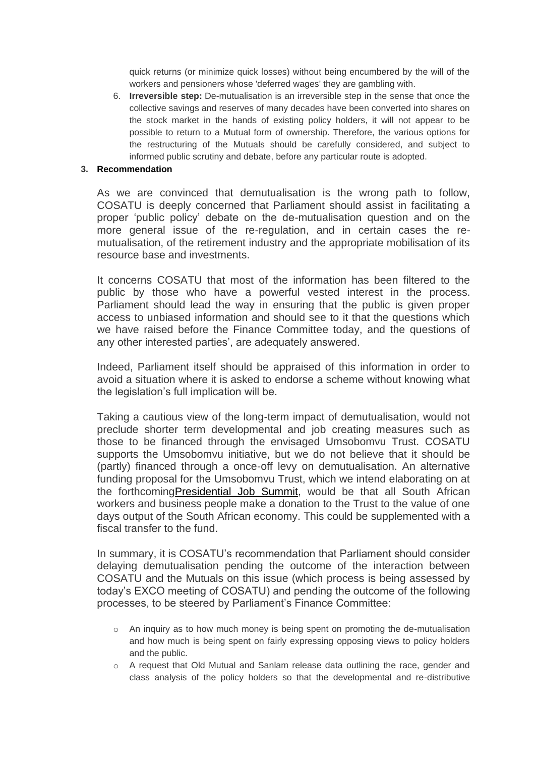quick returns (or minimize quick losses) without being encumbered by the will of the workers and pensioners whose 'deferred wages' they are gambling with.

6. **Irreversible step:** De-mutualisation is an irreversible step in the sense that once the collective savings and reserves of many decades have been converted into shares on the stock market in the hands of existing policy holders, it will not appear to be possible to return to a Mutual form of ownership. Therefore, the various options for the restructuring of the Mutuals should be carefully considered, and subject to informed public scrutiny and debate, before any particular route is adopted.

#### **3. Recommendation**

As we are convinced that demutualisation is the wrong path to follow, COSATU is deeply concerned that Parliament should assist in facilitating a proper 'public policy' debate on the de-mutualisation question and on the more general issue of the re-regulation, and in certain cases the remutualisation, of the retirement industry and the appropriate mobilisation of its resource base and investments.

It concerns COSATU that most of the information has been filtered to the public by those who have a powerful vested interest in the process. Parliament should lead the way in ensuring that the public is given proper access to unbiased information and should see to it that the questions which we have raised before the Finance Committee today, and the questions of any other interested parties', are adequately answered.

Indeed, Parliament itself should be appraised of this information in order to avoid a situation where it is asked to endorse a scheme without knowing what the legislation's full implication will be.

Taking a cautious view of the long-term impact of demutualisation, would not preclude shorter term developmental and job creating measures such as those to be financed through the envisaged Umsobomvu Trust. COSATU supports the Umsobomvu initiative, but we do not believe that it should be (partly) financed through a once-off levy on demutualisation. An alternative funding proposal for the Umsobomvu Trust, which we intend elaborating on at the forthcomin[gPresidential Job Summit,](http://www.cosatu.org.za/jobs-ned.htm) would be that all South African workers and business people make a donation to the Trust to the value of one days output of the South African economy. This could be supplemented with a fiscal transfer to the fund.

In summary, it is COSATU's recommendation that Parliament should consider delaying demutualisation pending the outcome of the interaction between COSATU and the Mutuals on this issue (which process is being assessed by today's EXCO meeting of COSATU) and pending the outcome of the following processes, to be steered by Parliament's Finance Committee:

- $\circ$  An inquiry as to how much money is being spent on promoting the de-mutualisation and how much is being spent on fairly expressing opposing views to policy holders and the public.
- $\circ$  A request that Old Mutual and Sanlam release data outlining the race, gender and class analysis of the policy holders so that the developmental and re-distributive